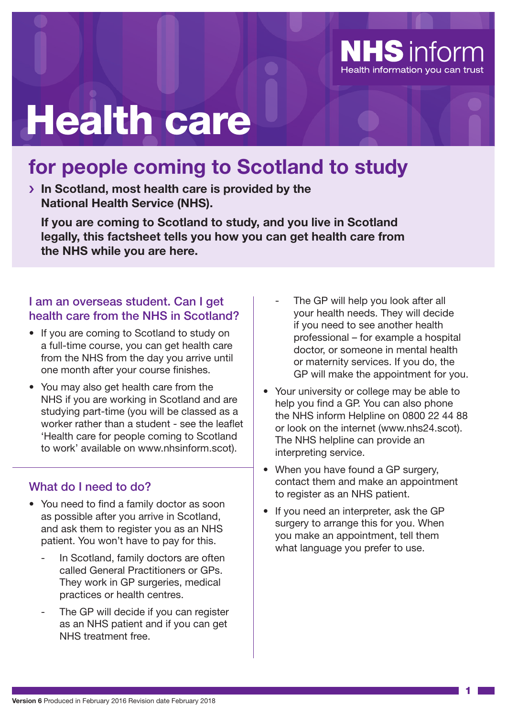

# Health care

# **for people coming to Scotland to study**

› **In Scotland, most health care is provided by the National Health Service (NHS).**

**If you are coming to Scotland to study, and you live in Scotland legally, this factsheet tells you how you can get health care from the NHS while you are here.**

#### I am an overseas student. Can I get health care from the NHS in Scotland?

- If you are coming to Scotland to study on a full-time course, you can get health care from the NHS from the day you arrive until one month after your course finishes.
- You may also get health care from the NHS if you are working in Scotland and are studying part-time (you will be classed as a worker rather than a student - see the leaflet 'Health care for people coming to Scotland to work' available on www.nhsinform.scot).

#### What do I need to do?

- You need to find a family doctor as soon as possible after you arrive in Scotland, and ask them to register you as an NHS patient. You won't have to pay for this.
	- In Scotland, family doctors are often called General Practitioners or GPs. They work in GP surgeries, medical practices or health centres.
	- The GP will decide if you can register as an NHS patient and if you can get NHS treatment free.
- The GP will help you look after all your health needs. They will decide if you need to see another health professional – for example a hospital doctor, or someone in mental health or maternity services. If you do, the GP will make the appointment for you.
- Your university or college may be able to help you find a GP. You can also phone the NHS inform Helpline on 0800 22 44 88 or look on the internet (www.nhs24.scot). The NHS helpline can provide an interpreting service.
- When you have found a GP surgery, contact them and make an appointment to register as an NHS patient.
- If you need an interpreter, ask the GP surgery to arrange this for you. When you make an appointment, tell them what language you prefer to use.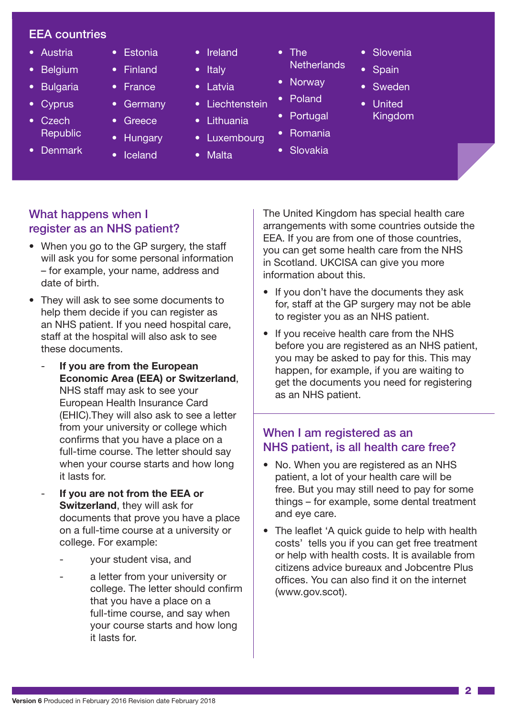#### EEA countries

- Austria
- Belgium
- **Bulgaria**
- **Cyprus**
- Czech **Republic**
- Denmark
- Estonia • Finland
- France
	- **Germany**
- **Greece**
- Hungary
- Iceland
- Ireland
- **Italy**
- Latvia
- Liechtenstein
- Lithuania
- Luxembourg
- Malta
- The **Netherlands**
- Norway
- Poland
- Portugal
- Romania
- Slovakia

#### What happens when I register as an NHS patient?

- When you go to the GP surgery, the staff will ask you for some personal information – for example, your name, address and date of birth.
- They will ask to see some documents to help them decide if you can register as an NHS patient. If you need hospital care, staff at the hospital will also ask to see these documents.
	- **If you are from the European Economic Area (EEA) or Switzerland**, NHS staff may ask to see your European Health Insurance Card (EHIC).They will also ask to see a letter from your university or college which confirms that you have a place on a full-time course. The letter should say when your course starts and how long it lasts for.
	- **If you are not from the EEA or Switzerland**, they will ask for documents that prove you have a place on a full-time course at a university or college. For example:
		- your student visa, and
		- a letter from your university or college. The letter should confirm that you have a place on a full-time course, and say when your course starts and how long it lasts for.

The United Kingdom has special health care arrangements with some countries outside the EEA. If you are from one of those countries, you can get some health care from the NHS in Scotland. UKCISA can give you more information about this.

• Slovenia

**Spain** 

• Sweden • United Kingdom

- If you don't have the documents they ask for, staff at the GP surgery may not be able to register you as an NHS patient.
- If you receive health care from the NHS before you are registered as an NHS patient, you may be asked to pay for this. This may happen, for example, if you are waiting to get the documents you need for registering as an NHS patient.

## When I am registered as an NHS patient, is all health care free?

- No. When you are registered as an NHS patient, a lot of your health care will be free. But you may still need to pay for some things – for example, some dental treatment and eye care.
- The leaflet 'A quick guide to help with health costs' tells you if you can get free treatment or help with health costs. It is available from citizens advice bureaux and Jobcentre Plus offices. You can also find it on the internet (www.gov.scot).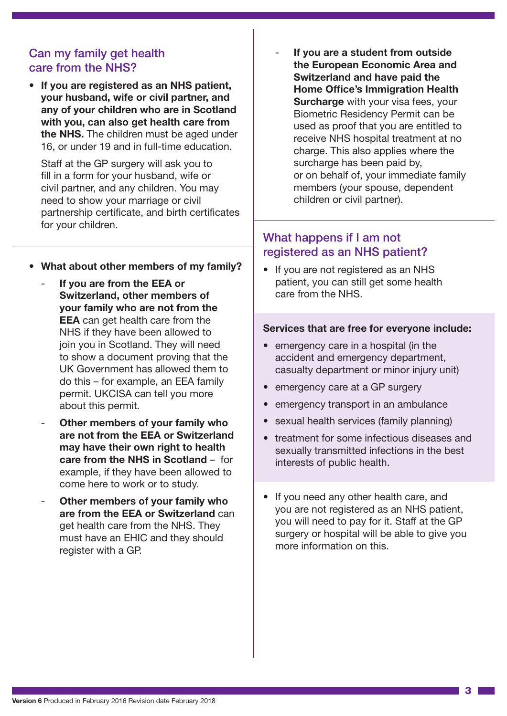#### Can my family get health care from the NHS?

• **If you are registered as an NHS patient, your husband, wife or civil partner, and any of your children who are in Scotland with you, can also get health care from the NHS.** The children must be aged under 16, or under 19 and in full-time education.

Staff at the GP surgery will ask you to fill in a form for your husband, wife or civil partner, and any children. You may need to show your marriage or civil partnership certificate, and birth certificates for your children.

- **What about other members of my family?**
	- **If you are from the EEA or Switzerland, other members of your family who are not from the EEA** can get health care from the NHS if they have been allowed to join you in Scotland. They will need to show a document proving that the UK Government has allowed them to do this – for example, an EEA family permit. UKCISA can tell you more about this permit.
	- **Other members of your family who are not from the EEA or Switzerland may have their own right to health care from the NHS in Scotland** – for example, if they have been allowed to come here to work or to study.
	- **Other members of your family who are from the EEA or Switzerland** can get health care from the NHS. They must have an EHIC and they should register with a GP.

- **If you are a student from outside the European Economic Area and Switzerland and have paid the Home Office's Immigration Health Surcharge** with your visa fees, your Biometric Residency Permit can be used as proof that you are entitled to receive NHS hospital treatment at no charge. This also applies where the surcharge has been paid by, or on behalf of, your immediate family members (your spouse, dependent children or civil partner).

### What happens if I am not registered as an NHS patient?

• If you are not registered as an NHS patient, you can still get some health care from the NHS.

#### **Services that are free for everyone include:**

- emergency care in a hospital (in the accident and emergency department, casualty department or minor injury unit)
- emergency care at a GP surgery
- emergency transport in an ambulance
- sexual health services (family planning)
- treatment for some infectious diseases and sexually transmitted infections in the best interests of public health.
- If you need any other health care, and you are not registered as an NHS patient, you will need to pay for it. Staff at the GP surgery or hospital will be able to give you more information on this.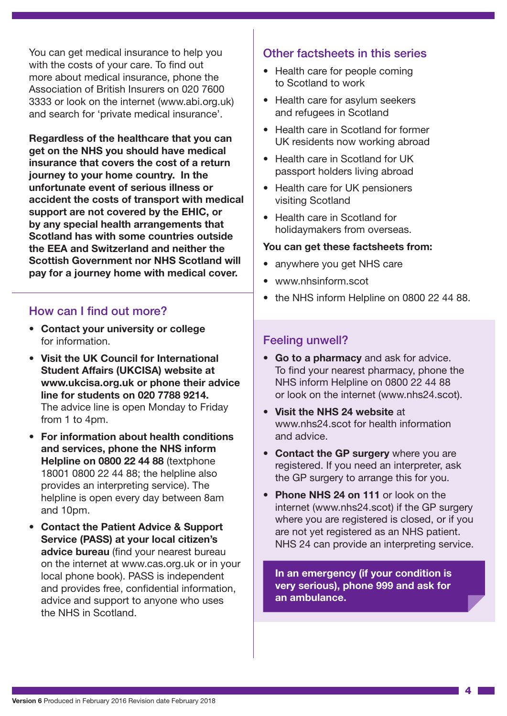You can get medical insurance to help you with the costs of your care. To find out more about medical insurance, phone the Association of British Insurers on 020 7600 3333 or look on the internet (www.abi.org.uk) and search for 'private medical insurance'.

**Regardless of the healthcare that you can get on the NHS you should have medical insurance that covers the cost of a return journey to your home country. In the unfortunate event of serious illness or accident the costs of transport with medical support are not covered by the EHIC, or by any special health arrangements that Scotland has with some countries outside the EEA and Switzerland and neither the Scottish Government nor NHS Scotland will pay for a journey home with medical cover.**

#### How can I find out more?

- **Contact your university or college** for information.
- **Visit the UK Council for International Student Affairs (UKCISA) website at www.ukcisa.org.uk or phone their advice line for students on 020 7788 9214.** The advice line is open Monday to Friday from 1 to 4pm.
- **For information about health conditions and services, phone the NHS inform Helpline on 0800 22 44 88** (textphone 18001 0800 22 44 88; the helpline also provides an interpreting service). The helpline is open every day between 8am and 10pm.
- **Contact the Patient Advice & Support Service (PASS) at your local citizen's advice bureau** (find your nearest bureau on the internet at www.cas.org.uk or in your local phone book). PASS is independent and provides free, confidential information, advice and support to anyone who uses the NHS in Scotland.

#### Other factsheets in this series

- Health care for people coming to Scotland to work
- Health care for asylum seekers and refugees in Scotland
- Health care in Scotland for former UK residents now working abroad
- Health care in Scotland for UK passport holders living abroad
- Health care for UK pensioners visiting Scotland
- Health care in Scotland for holidaymakers from overseas.

#### **You can get these factsheets from:**

- anywhere you get NHS care
- www.nhsinform.scot
- the NHS inform Helpline on 0800 22 44 88.

#### Feeling unwell?

- **Go to a pharmacy** and ask for advice. To find your nearest pharmacy, phone the NHS inform Helpline on 0800 22 44 88 or look on the internet (www.nhs24.scot).
- **Visit the NHS 24 website** at www.nhs24.scot for health information and advice.
- **Contact the GP surgery** where you are registered. If you need an interpreter, ask the GP surgery to arrange this for you.
- **Phone NHS 24 on 111** or look on the internet (www.nhs24.scot) if the GP surgery where you are registered is closed, or if you are not yet registered as an NHS patient. NHS 24 can provide an interpreting service.

**In an emergency (if your condition is very serious), phone 999 and ask for an ambulance.**